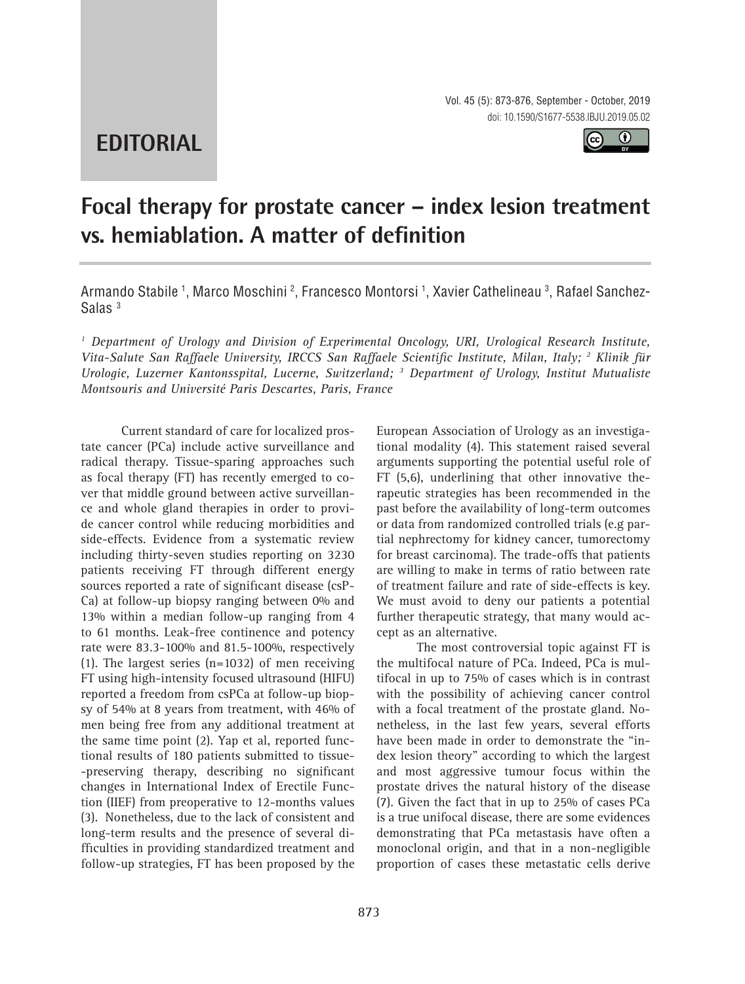**EDITORIAL**

Vol. 45 (5): 873-876, September - October, 2019 doi: 10.1590/S1677-5538.IBJU.2019.05.02

 $\bf{r}$ 

# **Focal therapy for prostate cancer – index lesion treatment vs. hemiablation. A matter of definition \_\_\_\_\_\_\_\_\_\_\_\_\_\_\_\_\_\_\_\_\_\_\_\_\_\_\_\_\_\_\_\_\_\_\_\_\_\_\_\_\_\_\_\_\_\_\_**

Armando Stabile <sup>1</sup>, Marco Moschini <sup>2</sup>, Francesco Montorsi <sup>1</sup>, Xavier Cathelineau <sup>3</sup>, Rafael Sanchez-Salas 3

<sup>1</sup> Department of Urology and Division of Experimental Oncology, URI, Urological Research Institute, *Vita-Salute San Raffaele University, IRCCS San Raffaele Scientific Institute, Milan, Italy; 2 Klinik für Urologie, Luzerner Kantonsspital, Lucerne, Switzerland; 3 Department of Urology, Institut Mutualiste Montsouris and Université Paris Descartes, Paris, France*

Current standard of care for localized prostate cancer (PCa) include active surveillance and radical therapy. Tissue-sparing approaches such as focal therapy (FT) has recently emerged to cover that middle ground between active surveillance and whole gland therapies in order to provide cancer control while reducing morbidities and side-effects. Evidence from a systematic review including thirty-seven studies reporting on 3230 patients receiving FT through different energy sources reported a rate of significant disease (csP-Ca) at follow-up biopsy ranging between 0% and 13% within a median follow-up ranging from 4 to 61 months. Leak-free continence and potency rate were 83.3-100% and 81.5-100%, respectively (1). The largest series (n=1032) of men receiving FT using high-intensity focused ultrasound (HIFU) reported a freedom from csPCa at follow-up biopsy of 54% at 8 years from treatment, with 46% of men being free from any additional treatment at the same time point (2). Yap et al, reported functional results of 180 patients submitted to tissue- -preserving therapy, describing no significant changes in International Index of Erectile Function (IIEF) from preoperative to 12-months values (3). Nonetheless, due to the lack of consistent and long-term results and the presence of several difficulties in providing standardized treatment and follow-up strategies, FT has been proposed by the

European Association of Urology as an investigational modality (4). This statement raised several arguments supporting the potential useful role of FT (5,6), underlining that other innovative therapeutic strategies has been recommended in the past before the availability of long-term outcomes or data from randomized controlled trials (e.g partial nephrectomy for kidney cancer, tumorectomy for breast carcinoma). The trade-offs that patients are willing to make in terms of ratio between rate of treatment failure and rate of side-effects is key. We must avoid to deny our patients a potential further therapeutic strategy, that many would accept as an alternative.

The most controversial topic against FT is the multifocal nature of PCa. Indeed, PCa is multifocal in up to 75% of cases which is in contrast with the possibility of achieving cancer control with a focal treatment of the prostate gland. Nonetheless, in the last few years, several efforts have been made in order to demonstrate the "index lesion theory" according to which the largest and most aggressive tumour focus within the prostate drives the natural history of the disease (7). Given the fact that in up to 25% of cases PCa is a true unifocal disease, there are some evidences demonstrating that PCa metastasis have often a monoclonal origin, and that in a non-negligible proportion of cases these metastatic cells derive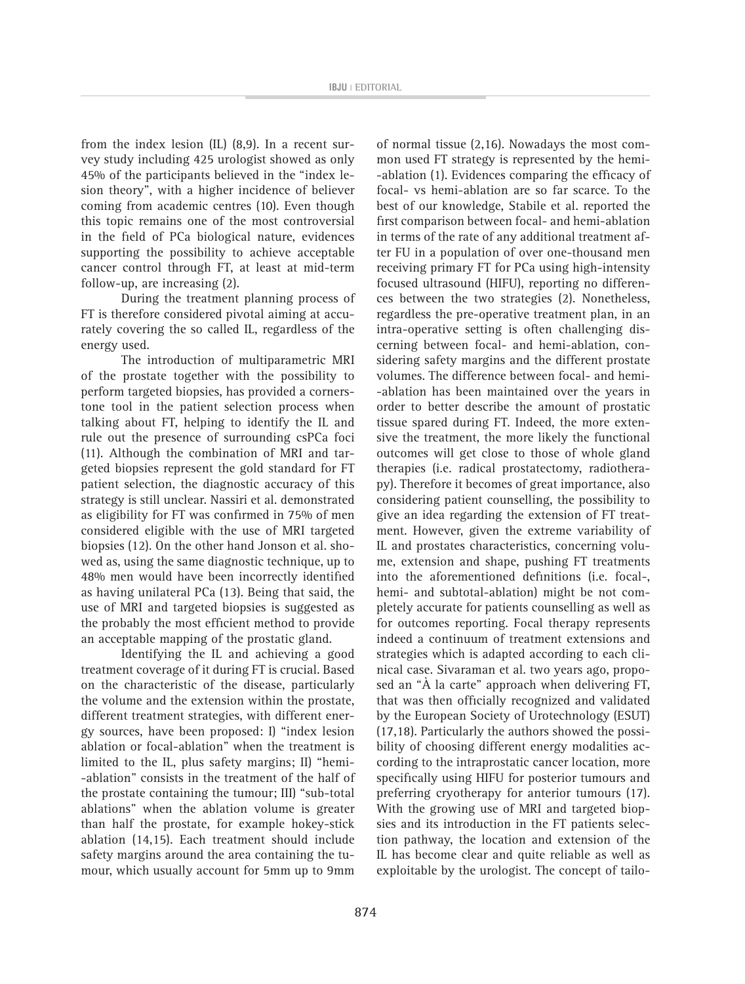from the index lesion (IL) (8,9). In a recent survey study including 425 urologist showed as only 45% of the participants believed in the "index lesion theory", with a higher incidence of believer coming from academic centres (10). Even though this topic remains one of the most controversial in the field of PCa biological nature, evidences supporting the possibility to achieve acceptable cancer control through FT, at least at mid-term follow-up, are increasing (2).

During the treatment planning process of FT is therefore considered pivotal aiming at accurately covering the so called IL, regardless of the energy used.

The introduction of multiparametric MRI of the prostate together with the possibility to perform targeted biopsies, has provided a cornerstone tool in the patient selection process when talking about FT, helping to identify the IL and rule out the presence of surrounding csPCa foci (11). Although the combination of MRI and targeted biopsies represent the gold standard for FT patient selection, the diagnostic accuracy of this strategy is still unclear. Nassiri et al. demonstrated as eligibility for FT was confirmed in 75% of men considered eligible with the use of MRI targeted biopsies (12). On the other hand Jonson et al. showed as, using the same diagnostic technique, up to 48% men would have been incorrectly identified as having unilateral PCa (13). Being that said, the use of MRI and targeted biopsies is suggested as the probably the most efficient method to provide an acceptable mapping of the prostatic gland.

Identifying the IL and achieving a good treatment coverage of it during FT is crucial. Based on the characteristic of the disease, particularly the volume and the extension within the prostate, different treatment strategies, with different energy sources, have been proposed: I) "index lesion ablation or focal-ablation" when the treatment is limited to the IL, plus safety margins; II) "hemi- -ablation" consists in the treatment of the half of the prostate containing the tumour; III) "sub-total ablations" when the ablation volume is greater than half the prostate, for example hokey-stick ablation (14,15). Each treatment should include safety margins around the area containing the tumour, which usually account for 5mm up to 9mm

of normal tissue (2,16). Nowadays the most common used FT strategy is represented by the hemi- -ablation (1). Evidences comparing the efficacy of focal- vs hemi-ablation are so far scarce. To the best of our knowledge, Stabile et al. reported the first comparison between focal- and hemi-ablation in terms of the rate of any additional treatment after FU in a population of over one-thousand men receiving primary FT for PCa using high-intensity focused ultrasound (HIFU), reporting no differences between the two strategies (2). Nonetheless, regardless the pre-operative treatment plan, in an intra-operative setting is often challenging discerning between focal- and hemi-ablation, considering safety margins and the different prostate volumes. The difference between focal- and hemi- -ablation has been maintained over the years in order to better describe the amount of prostatic tissue spared during FT. Indeed, the more extensive the treatment, the more likely the functional outcomes will get close to those of whole gland therapies (i.e. radical prostatectomy, radiotherapy). Therefore it becomes of great importance, also considering patient counselling, the possibility to give an idea regarding the extension of FT treatment. However, given the extreme variability of IL and prostates characteristics, concerning volume, extension and shape, pushing FT treatments into the aforementioned definitions (i.e. focal-, hemi- and subtotal-ablation) might be not completely accurate for patients counselling as well as for outcomes reporting. Focal therapy represents indeed a continuum of treatment extensions and strategies which is adapted according to each clinical case. Sivaraman et al. two years ago, proposed an "À la carte" approach when delivering FT, that was then officially recognized and validated by the European Society of Urotechnology (ESUT) (17,18). Particularly the authors showed the possibility of choosing different energy modalities according to the intraprostatic cancer location, more specifically using HIFU for posterior tumours and preferring cryotherapy for anterior tumours (17). With the growing use of MRI and targeted biopsies and its introduction in the FT patients selection pathway, the location and extension of the IL has become clear and quite reliable as well as exploitable by the urologist. The concept of tailo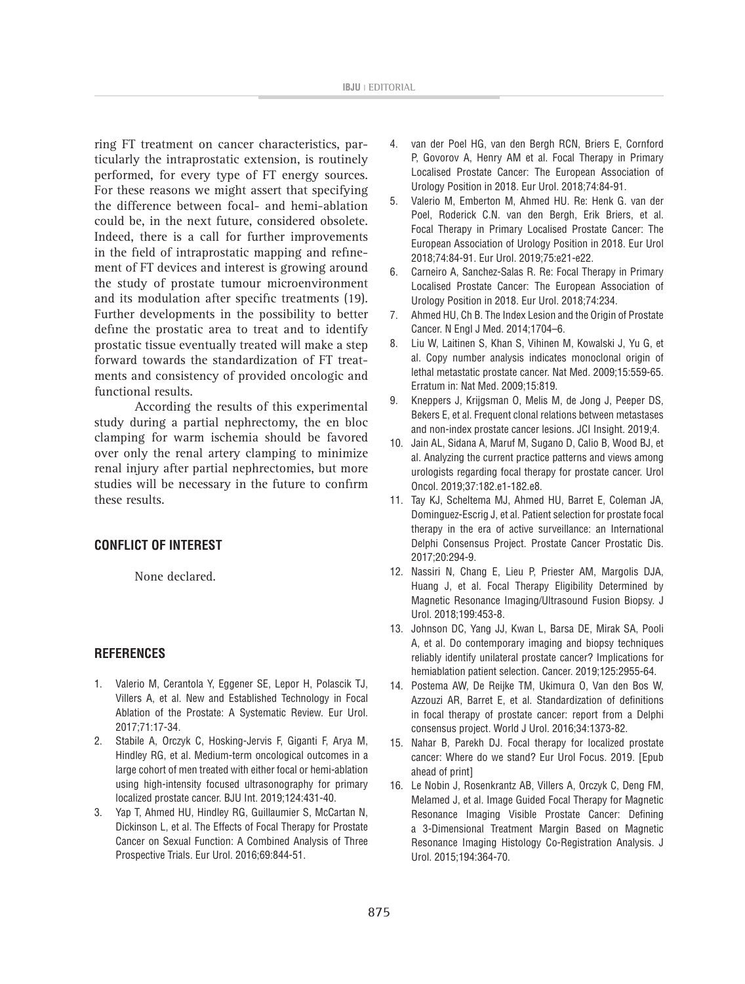ring FT treatment on cancer characteristics, particularly the intraprostatic extension, is routinely performed, for every type of FT energy sources. For these reasons we might assert that specifying the difference between focal- and hemi-ablation could be, in the next future, considered obsolete. Indeed, there is a call for further improvements in the field of intraprostatic mapping and refinement of FT devices and interest is growing around the study of prostate tumour microenvironment and its modulation after specific treatments (19). Further developments in the possibility to better define the prostatic area to treat and to identify prostatic tissue eventually treated will make a step forward towards the standardization of FT treatments and consistency of provided oncologic and functional results.

According the results of this experimental study during a partial nephrectomy, the en bloc clamping for warm ischemia should be favored over only the renal artery clamping to minimize renal injury after partial nephrectomies, but more studies will be necessary in the future to confirm these results.

### **CONFLICT OF INTEREST**

None declared.

#### **REFERENCES**

- 1. Valerio M, Cerantola Y, Eggener SE, Lepor H, Polascik TJ, Villers A, et al. New and Established Technology in Focal Ablation of the Prostate: A Systematic Review. Eur Urol. 2017;71:17-34.
- 2. Stabile A, Orczyk C, Hosking-Jervis F, Giganti F, Arya M, Hindley RG, et al. Medium-term oncological outcomes in a large cohort of men treated with either focal or hemi-ablation using high-intensity focused ultrasonography for primary localized prostate cancer. BJU Int. 2019;124:431-40.
- 3. Yap T, Ahmed HU, Hindley RG, Guillaumier S, McCartan N, Dickinson L, et al. The Effects of Focal Therapy for Prostate Cancer on Sexual Function: A Combined Analysis of Three Prospective Trials. Eur Urol. 2016;69:844-51.
- 4. van der Poel HG, van den Bergh RCN, Briers E, Cornford P, Govorov A, Henry AM et al. Focal Therapy in Primary Localised Prostate Cancer: The European Association of Urology Position in 2018. Eur Urol. 2018;74:84-91.
- 5. Valerio M, Emberton M, Ahmed HU. Re: Henk G. van der Poel, Roderick C.N. van den Bergh, Erik Briers, et al. Focal Therapy in Primary Localised Prostate Cancer: The European Association of Urology Position in 2018. Eur Urol 2018;74:84-91. Eur Urol. 2019;75:e21-e22.
- 6. Carneiro A, Sanchez-Salas R. Re: Focal Therapy in Primary Localised Prostate Cancer: The European Association of Urology Position in 2018. Eur Urol. 2018;74:234.
- 7. Ahmed HU, Ch B. The Index Lesion and the Origin of Prostate Cancer. N Engl J Med. 2014;1704–6.
- 8. Liu W, Laitinen S, Khan S, Vihinen M, Kowalski J, Yu G, et al. Copy number analysis indicates monoclonal origin of lethal metastatic prostate cancer. Nat Med. 2009;15:559-65. Erratum in: Nat Med. 2009;15:819.
- 9. Kneppers J, Krijgsman O, Melis M, de Jong J, Peeper DS, Bekers E, et al. Frequent clonal relations between metastases and non-index prostate cancer lesions. JCI Insight. 2019;4.
- 10. Jain AL, Sidana A, Maruf M, Sugano D, Calio B, Wood BJ, et al. Analyzing the current practice patterns and views among urologists regarding focal therapy for prostate cancer. Urol Oncol. 2019;37:182.e1-182.e8.
- 11. Tay KJ, Scheltema MJ, Ahmed HU, Barret E, Coleman JA, Dominguez-Escrig J, et al. Patient selection for prostate focal therapy in the era of active surveillance: an International Delphi Consensus Project. Prostate Cancer Prostatic Dis. 2017;20:294-9.
- 12. Nassiri N, Chang E, Lieu P, Priester AM, Margolis DJA, Huang J, et al. Focal Therapy Eligibility Determined by Magnetic Resonance Imaging/Ultrasound Fusion Biopsy. J Urol. 2018;199:453-8.
- 13. Johnson DC, Yang JJ, Kwan L, Barsa DE, Mirak SA, Pooli A, et al. Do contemporary imaging and biopsy techniques reliably identify unilateral prostate cancer? Implications for hemiablation patient selection. Cancer. 2019;125:2955-64.
- 14. Postema AW, De Reijke TM, Ukimura O, Van den Bos W, Azzouzi AR, Barret E, et al. Standardization of definitions in focal therapy of prostate cancer: report from a Delphi consensus project. World J Urol. 2016;34:1373-82.
- 15. Nahar B, Parekh DJ. Focal therapy for localized prostate cancer: Where do we stand? Eur Urol Focus. 2019. [Epub ahead of print]
- 16. Le Nobin J, Rosenkrantz AB, Villers A, Orczyk C, Deng FM, Melamed J, et al. Image Guided Focal Therapy for Magnetic Resonance Imaging Visible Prostate Cancer: Defining a 3-Dimensional Treatment Margin Based on Magnetic Resonance Imaging Histology Co-Registration Analysis. J Urol. 2015;194:364-70.